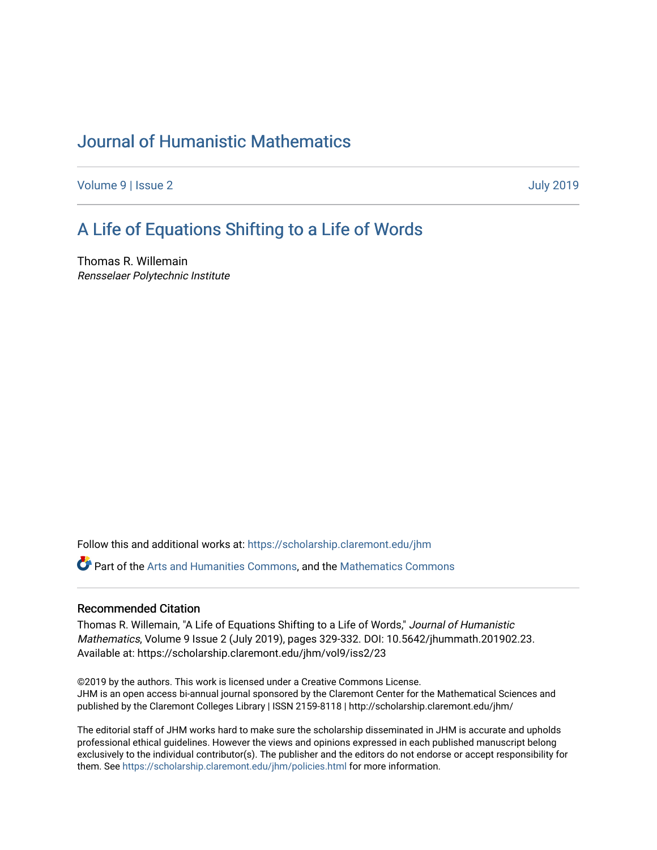# [Journal of Humanistic Mathematics](https://scholarship.claremont.edu/jhm)

[Volume 9](https://scholarship.claremont.edu/jhm/vol9) | [Issue 2](https://scholarship.claremont.edu/jhm/vol9/iss2) [July 2019](https://scholarship.claremont.edu/jhm/vol9/iss2) 

# [A Life of Equations Shifting t](https://scholarship.claremont.edu/jhm/vol9/iss2/23)o a Life of Words

Thomas R. Willemain Rensselaer Polytechnic Institute

Follow this and additional works at: [https://scholarship.claremont.edu/jhm](https://scholarship.claremont.edu/jhm?utm_source=scholarship.claremont.edu%2Fjhm%2Fvol9%2Fiss2%2F23&utm_medium=PDF&utm_campaign=PDFCoverPages)

Part of the [Arts and Humanities Commons,](http://network.bepress.com/hgg/discipline/438?utm_source=scholarship.claremont.edu%2Fjhm%2Fvol9%2Fiss2%2F23&utm_medium=PDF&utm_campaign=PDFCoverPages) and the [Mathematics Commons](http://network.bepress.com/hgg/discipline/174?utm_source=scholarship.claremont.edu%2Fjhm%2Fvol9%2Fiss2%2F23&utm_medium=PDF&utm_campaign=PDFCoverPages) 

### Recommended Citation

Thomas R. Willemain, "A Life of Equations Shifting to a Life of Words," Journal of Humanistic Mathematics, Volume 9 Issue 2 (July 2019), pages 329-332. DOI: 10.5642/jhummath.201902.23. Available at: https://scholarship.claremont.edu/jhm/vol9/iss2/23

©2019 by the authors. This work is licensed under a Creative Commons License. JHM is an open access bi-annual journal sponsored by the Claremont Center for the Mathematical Sciences and published by the Claremont Colleges Library | ISSN 2159-8118 | http://scholarship.claremont.edu/jhm/

The editorial staff of JHM works hard to make sure the scholarship disseminated in JHM is accurate and upholds professional ethical guidelines. However the views and opinions expressed in each published manuscript belong exclusively to the individual contributor(s). The publisher and the editors do not endorse or accept responsibility for them. See<https://scholarship.claremont.edu/jhm/policies.html> for more information.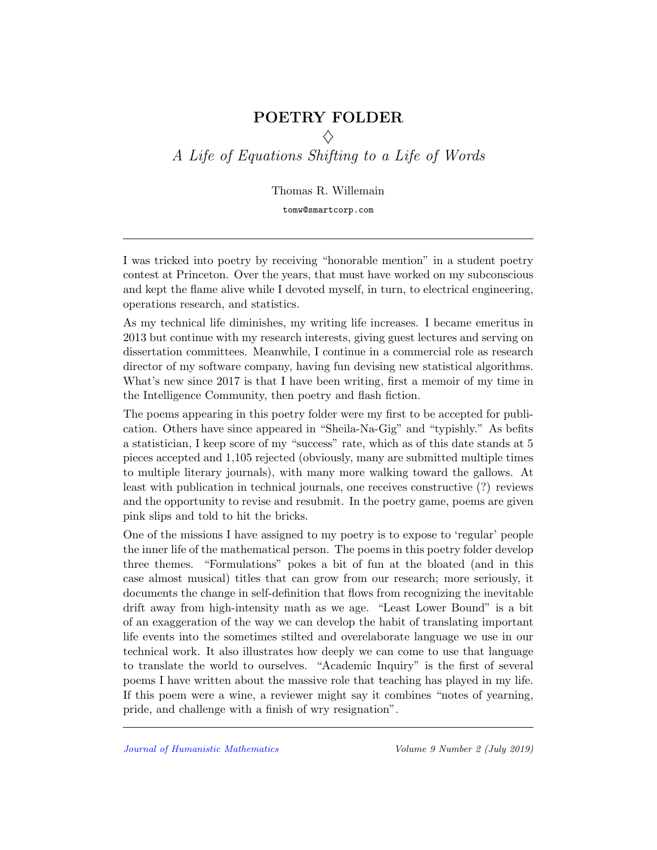## POETRY FOLDER

 $\Diamond$ A Life of Equations Shifting to a Life of Words

Thomas R. Willemain

tomw@smartcorp.com

I was tricked into poetry by receiving "honorable mention" in a student poetry contest at Princeton. Over the years, that must have worked on my subconscious and kept the flame alive while I devoted myself, in turn, to electrical engineering, operations research, and statistics.

As my technical life diminishes, my writing life increases. I became emeritus in 2013 but continue with my research interests, giving guest lectures and serving on dissertation committees. Meanwhile, I continue in a commercial role as research director of my software company, having fun devising new statistical algorithms. What's new since 2017 is that I have been writing, first a memoir of my time in the Intelligence Community, then poetry and flash fiction.

The poems appearing in this poetry folder were my first to be accepted for publication. Others have since appeared in "Sheila-Na-Gig" and "typishly." As befits a statistician, I keep score of my "success" rate, which as of this date stands at 5 pieces accepted and 1,105 rejected (obviously, many are submitted multiple times to multiple literary journals), with many more walking toward the gallows. At least with publication in technical journals, one receives constructive (?) reviews and the opportunity to revise and resubmit. In the poetry game, poems are given pink slips and told to hit the bricks.

One of the missions I have assigned to my poetry is to expose to 'regular' people the inner life of the mathematical person. The poems in this poetry folder develop three themes. "Formulations" pokes a bit of fun at the bloated (and in this case almost musical) titles that can grow from our research; more seriously, it documents the change in self-definition that flows from recognizing the inevitable drift away from high-intensity math as we age. "Least Lower Bound" is a bit of an exaggeration of the way we can develop the habit of translating important life events into the sometimes stilted and overelaborate language we use in our technical work. It also illustrates how deeply we can come to use that language to translate the world to ourselves. "Academic Inquiry" is the first of several poems I have written about the massive role that teaching has played in my life. If this poem were a wine, a reviewer might say it combines "notes of yearning, pride, and challenge with a finish of wry resignation".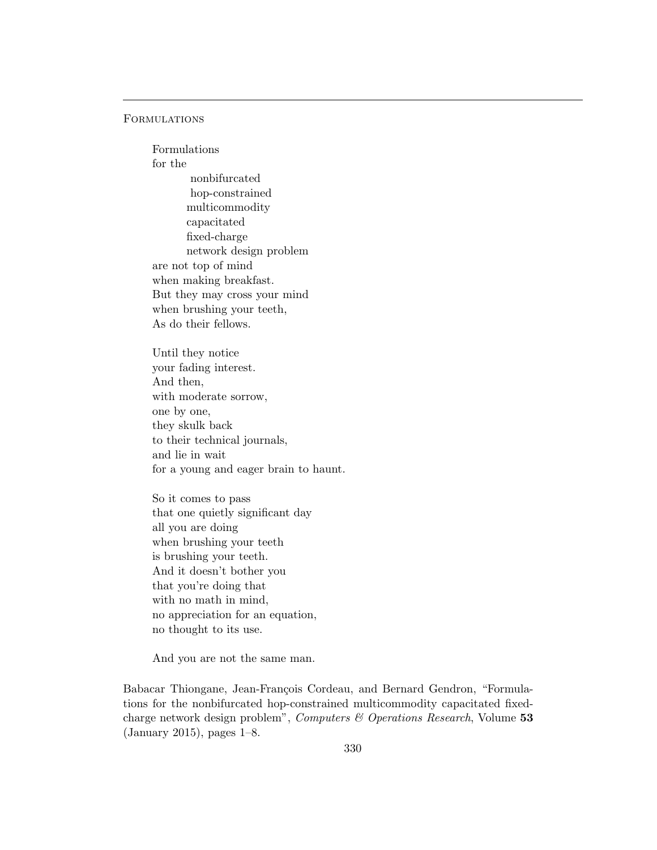### **FORMULATIONS**

Formulations for the nonbifurcated hop-constrained multicommodity capacitated fixed-charge network design problem are not top of mind when making breakfast. But they may cross your mind when brushing your teeth, As do their fellows.

Until they notice your fading interest. And then, with moderate sorrow, one by one, they skulk back to their technical journals, and lie in wait for a young and eager brain to haunt.

So it comes to pass that one quietly significant day all you are doing when brushing your teeth is brushing your teeth. And it doesn't bother you that you're doing that with no math in mind, no appreciation for an equation, no thought to its use.

And you are not the same man.

Babacar Thiongane, Jean-François Cordeau, and Bernard Gendron, "Formulations for the nonbifurcated hop-constrained multicommodity capacitated fixedcharge network design problem", Computers & Operations Research, Volume 53 (January 2015), pages 1–8.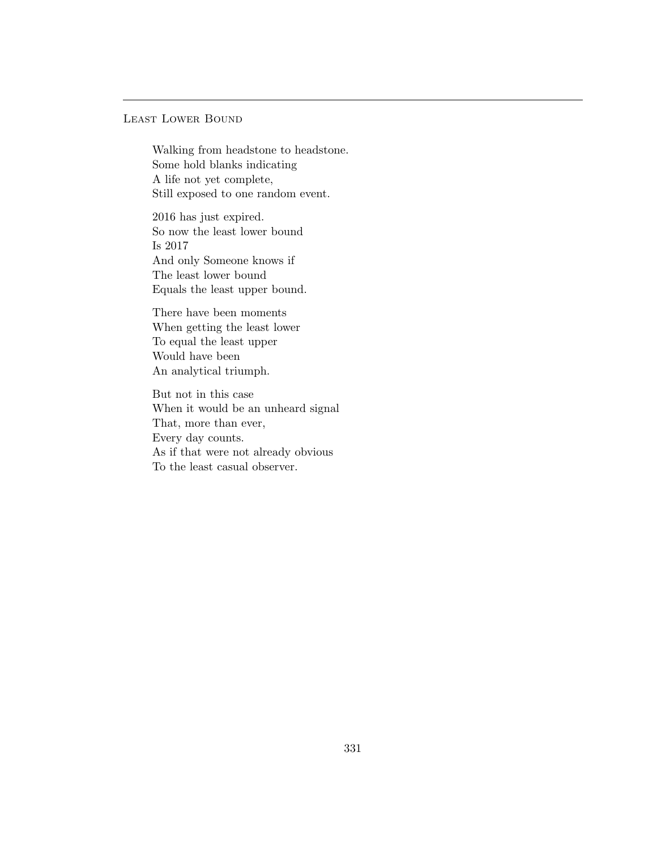### Least Lower Bound

Walking from headstone to headstone. Some hold blanks indicating A life not yet complete, Still exposed to one random event.

2016 has just expired. So now the least lower bound Is 2017 And only Someone knows if The least lower bound Equals the least upper bound.

There have been moments When getting the least lower To equal the least upper Would have been An analytical triumph.

But not in this case When it would be an unheard signal That, more than ever, Every day counts. As if that were not already obvious To the least casual observer.